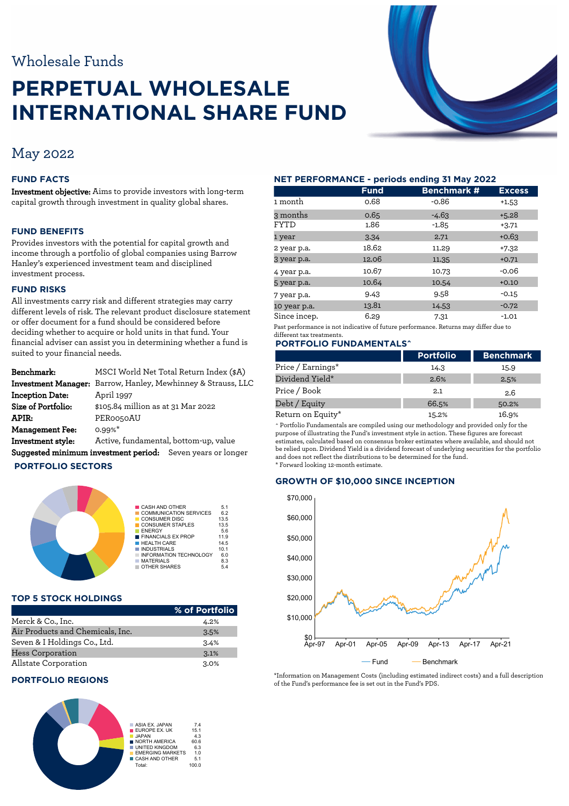# Wholesale Funds

# **PERPETUAL WHOLESALE INTERNATIONAL SHARE FUND**



# May 2022

## **FUND FACTS**

Investment objective: Aims to provide investors with long-term capital growth through investment in quality global shares.

#### **FUND BENEFITS**

Provides investors with the potential for capital growth and income through a portfolio of global companies using Barrow Hanley's experienced investment team and disciplined investment process.

# **FUND RISKS**

All investments carry risk and different strategies may carry different levels of risk. The relevant product disclosure statement or offer document for a fund should be considered before deciding whether to acquire or hold units in that fund. Your financial adviser can assist you in determining whether a fund is suited to your financial needs.

| Benchmark:             | MSCI World Net Total Return Index (\$A)                             |  |  |
|------------------------|---------------------------------------------------------------------|--|--|
|                        | <b>Investment Manager:</b> Barrow, Hanley, Mewhinney & Strauss, LLC |  |  |
| <b>Inception Date:</b> | April 1997                                                          |  |  |
| Size of Portfolio:     | \$105.84 million as at 31 Mar 2022                                  |  |  |
| APIR:                  | PER0050AU                                                           |  |  |
| <b>Management Fee:</b> | $0.99%$ *                                                           |  |  |
| Investment style:      | Active, fundamental, bottom-up, value                               |  |  |
|                        | Suggested minimum investment period: Seven years or longer          |  |  |

#### **PORTFOLIO SECTORS**



#### **TOP 5 STOCK HOLDINGS**

|                                  | % of Portfolio |               |        |          | w   |
|----------------------------------|----------------|---------------|--------|----------|-----|
| Merck & Co., Inc.                | 4.2%           | \$10,000      |        |          |     |
| Air Products and Chemicals, Inc. | 3.5%           |               |        |          |     |
| Seven & I Holdings Co., Ltd.     | 3.4%           | \$0<br>Apr-97 | Apr-01 | Apr-05   | Apr |
| Hess Corporation                 | 3.1%           |               |        |          |     |
| Allstate Corporation             | 3.0%           |               |        | $-$ Fund |     |

#### **PORTFOLIO REGIONS**



#### **NET PERFORMANCE - periods ending 31 May 2022**

|              | <b>Fund</b> | <b>Benchmark #</b> | <b>Excess</b> |
|--------------|-------------|--------------------|---------------|
| 1 month      | 0.68        | $-0.86$            | $+1.53$       |
| 3 months     | 0.65        | $-4.63$            | $+5.28$       |
| FYTD         | 1.86        | $-1.85$            | $+3.71$       |
| 1 year       | 3.34        | 2.71               | $+0.63$       |
| 2 year p.a.  | 18.62       | 11.29              | $+7.32$       |
| 3 year p.a.  | 12.06       | 11.35              | $+0.71$       |
| 4 year p.a.  | 10.67       | 10.73              | $-0.06$       |
| 5 year p.a.  | 10.64       | 10.54              | $+0.10$       |
| 7 year p.a.  | 9.43        | 9.58               | $-0.15$       |
| 10 year p.a. | 13.81       | 14.53              | $-0.72$       |
| Since incep. | 6.29        | 7.31               | $-1.01$       |

Past performance is not indicative of future performance. Returns may differ due to different tax treatments.

## **PORTFOLIO FUNDAMENTALS^**

|                   | <b>Portfolio</b> | <b>Benchmark</b> |
|-------------------|------------------|------------------|
| Price / Earnings* | 14.3             | 15.9             |
| Dividend Yield*   | 2.6%             | 2.5%             |
| Price / Book      | 2.1              | 2.6              |
| Debt / Equity     | 66.5%            | 50.2%            |
| Return on Equity* | 15.2%            | 16.9%            |

^ Portfolio Fundamentals are compiled using our methodology and provided only for the purpose of illustrating the Fund's investment style in action. These figures are forecast estimates, calculated based on consensus broker estimates where available, and should not be relied upon. Dividend Yield is a dividend forecast of underlying securities for the portfolio and does not reflect the distributions to be determined for the fund. \* Forward looking 12-month estimate.

# **GROWTH OF \$10,000 SINCE INCEPTION**



\*Information on Management Costs (including estimated indirect costs) and a full description of the Fund's performance fee is set out in the Fund's PDS.